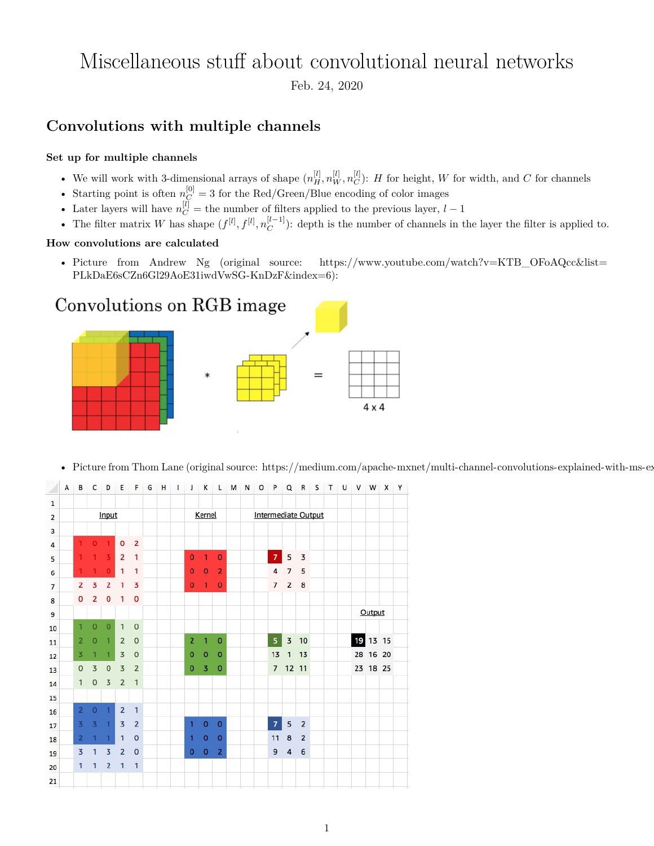# Miscellaneous stuff about convolutional neural networks

Feb. 24, 2020

## **Convolutions with multiple channels**

#### **Set up for multiple channels**

- We will work with 3-dimensional arrays of shape  $(n_H^{[l]}, n_W^{[l]}, n_C^{[l]})$ : *H* for height, *W* for width, and *C* for channels *C*
- Starting point is often  $n_C^{[0]} = 3$  for the Red/Green/Blue encoding of color images
- Later layers will have  $n_C^{[l]}$  = the number of filters applied to the previous layer,  $l-1$
- The filter matrix *W* has shape  $(f^{[l]}, f^{[l]}, n_C^{[l-1]})$  $\binom{[l-1]}{C}$ : depth is the number of channels in the layer the filter is applied to.

#### **How convolutions are calculated**

• Picture from Andrew Ng (original source: [https://www.youtube.com/watch?v=KTB\\_OFoAQcc&list=](https://www.youtube.com/watch?v=KTB_OFoAQcc&list=PLkDaE6sCZn6Gl29AoE31iwdVwSG-KnDzF&index=6) [PLkDaE6sCZn6Gl29AoE31iwdVwSG-KnDzF&index=6\)](https://www.youtube.com/watch?v=KTB_OFoAQcc&list=PLkDaE6sCZn6Gl29AoE31iwdVwSG-KnDzF&index=6):



• Picture from Thom Lane (original source: https://medium.com/apache-mxnet/multi-channel-convolutions-explained-with-ms-ex-



G H I J K L M N O P Q R S T U V W X Y B CDEF  $\overline{A}$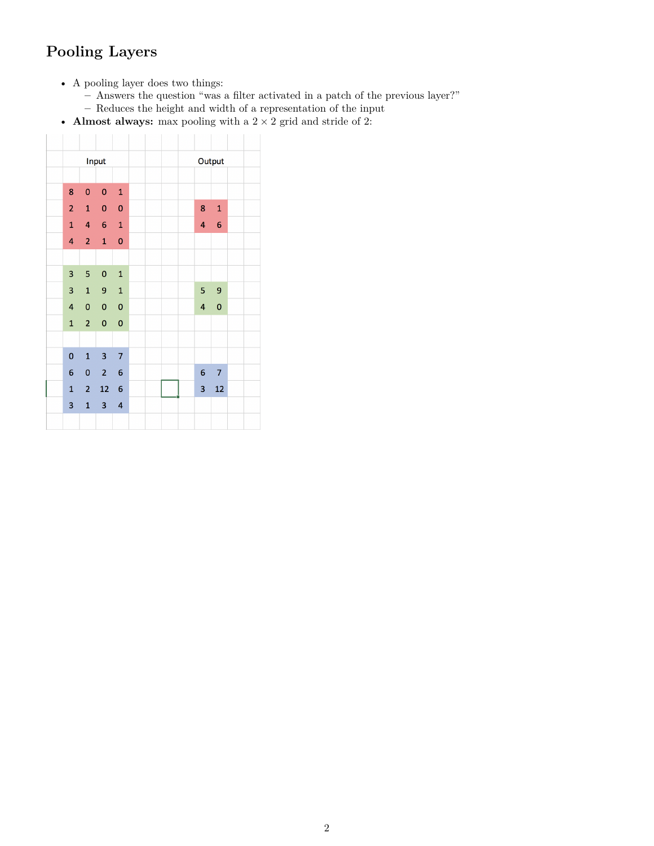## **Pooling Layers**

- A pooling layer does two things:
	- **–** Answers the question "was a filter activated in a patch of the previous layer?"
	- **–** Reduces the height and width of a representation of the input
- Almost always: max pooling with a  $2\times 2$  grid and stride of 2: